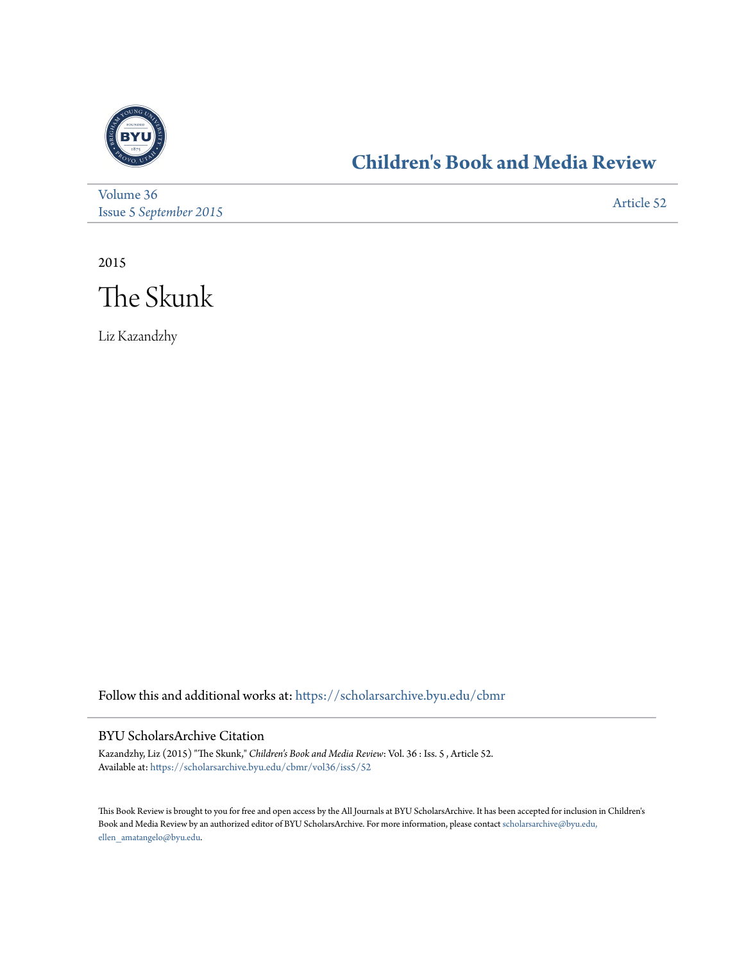

## **[Children's Book and Media Review](https://scholarsarchive.byu.edu/cbmr?utm_source=scholarsarchive.byu.edu%2Fcbmr%2Fvol36%2Fiss5%2F52&utm_medium=PDF&utm_campaign=PDFCoverPages)**

[Volume 36](https://scholarsarchive.byu.edu/cbmr/vol36?utm_source=scholarsarchive.byu.edu%2Fcbmr%2Fvol36%2Fiss5%2F52&utm_medium=PDF&utm_campaign=PDFCoverPages) Issue 5 *[September 2015](https://scholarsarchive.byu.edu/cbmr/vol36/iss5?utm_source=scholarsarchive.byu.edu%2Fcbmr%2Fvol36%2Fiss5%2F52&utm_medium=PDF&utm_campaign=PDFCoverPages)* [Article 52](https://scholarsarchive.byu.edu/cbmr/vol36/iss5/52?utm_source=scholarsarchive.byu.edu%2Fcbmr%2Fvol36%2Fiss5%2F52&utm_medium=PDF&utm_campaign=PDFCoverPages)

2015



Liz Kazandzhy

Follow this and additional works at: [https://scholarsarchive.byu.edu/cbmr](https://scholarsarchive.byu.edu/cbmr?utm_source=scholarsarchive.byu.edu%2Fcbmr%2Fvol36%2Fiss5%2F52&utm_medium=PDF&utm_campaign=PDFCoverPages)

## BYU ScholarsArchive Citation

Kazandzhy, Liz (2015) "The Skunk," *Children's Book and Media Review*: Vol. 36 : Iss. 5 , Article 52. Available at: [https://scholarsarchive.byu.edu/cbmr/vol36/iss5/52](https://scholarsarchive.byu.edu/cbmr/vol36/iss5/52?utm_source=scholarsarchive.byu.edu%2Fcbmr%2Fvol36%2Fiss5%2F52&utm_medium=PDF&utm_campaign=PDFCoverPages)

This Book Review is brought to you for free and open access by the All Journals at BYU ScholarsArchive. It has been accepted for inclusion in Children's Book and Media Review by an authorized editor of BYU ScholarsArchive. For more information, please contact [scholarsarchive@byu.edu,](mailto:scholarsarchive@byu.edu,%20ellen_amatangelo@byu.edu) [ellen\\_amatangelo@byu.edu.](mailto:scholarsarchive@byu.edu,%20ellen_amatangelo@byu.edu)